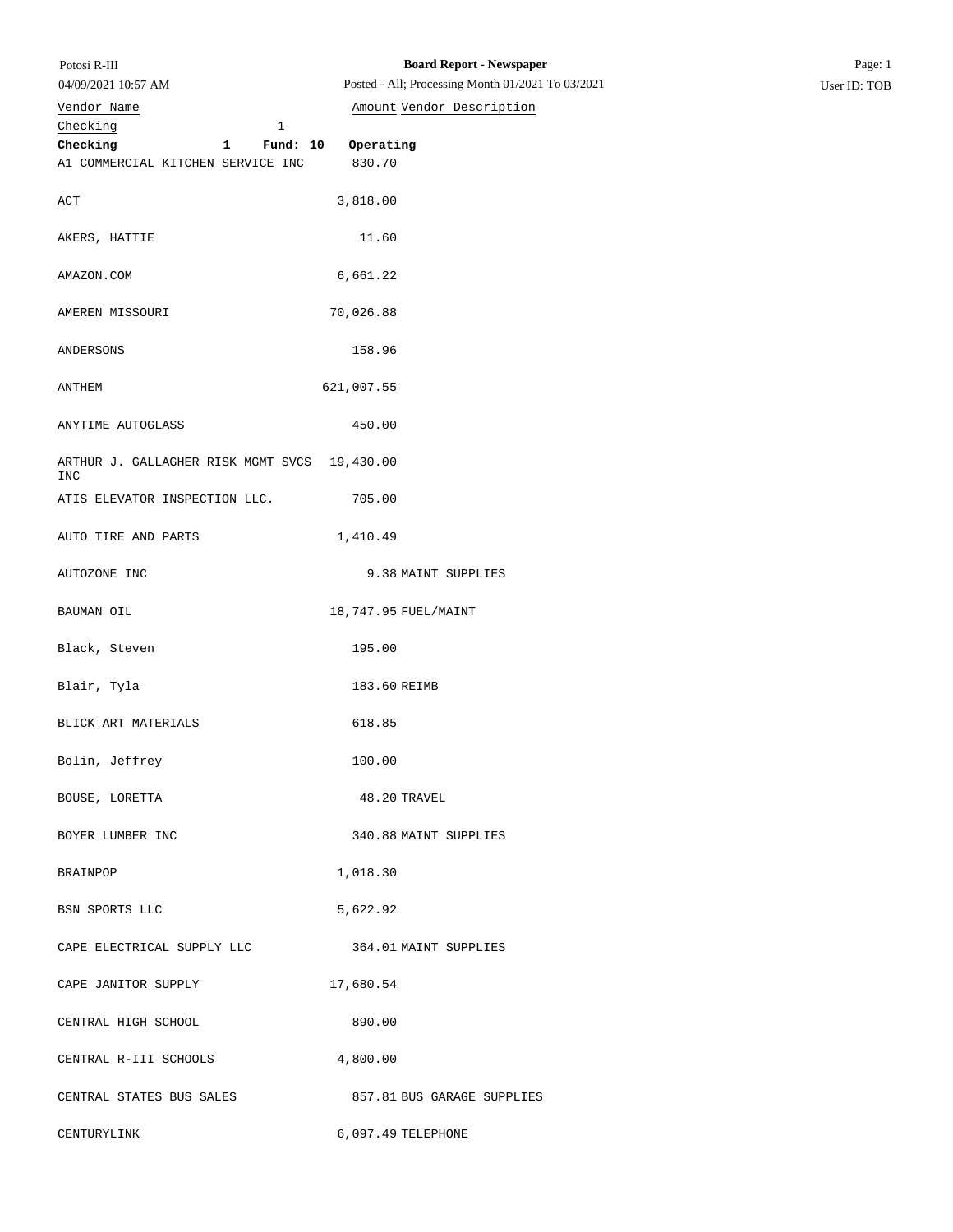| 04/09/2021 10:57 AM                                        | Posted - All; Processing Month 01/2021 To 03/2021 | User ID: TOB |
|------------------------------------------------------------|---------------------------------------------------|--------------|
| Vendor Name                                                | Amount Vendor Description                         |              |
| Checking<br>1                                              |                                                   |              |
| Checking<br>Fund: 10<br>$\mathbf{1}$                       | Operating                                         |              |
| A1 COMMERCIAL KITCHEN SERVICE INC                          | 830.70                                            |              |
| ACT                                                        | 3,818.00                                          |              |
| AKERS, HATTIE                                              | 11.60                                             |              |
| AMAZON.COM                                                 | 6,661.22                                          |              |
| AMEREN MISSOURI                                            | 70,026.88                                         |              |
| ANDERSONS                                                  | 158.96                                            |              |
| ANTHEM                                                     | 621,007.55                                        |              |
| ANYTIME AUTOGLASS                                          | 450.00                                            |              |
| ARTHUR J. GALLAGHER RISK MGMT SVCS 19,430.00<br><b>INC</b> |                                                   |              |
| ATIS ELEVATOR INSPECTION LLC.                              | 705.00                                            |              |
| AUTO TIRE AND PARTS                                        | 1,410.49                                          |              |
| AUTOZONE INC                                               | 9.38 MAINT SUPPLIES                               |              |
| BAUMAN OIL                                                 | 18,747.95 FUEL/MAINT                              |              |
| Black, Steven                                              | 195.00                                            |              |
| Blair, Tyla                                                | 183.60 REIMB                                      |              |
| BLICK ART MATERIALS                                        | 618.85                                            |              |
| Bolin, Jeffrey                                             | 100.00                                            |              |
| BOUSE, LORETTA                                             | 48.20 TRAVEL                                      |              |
| BOYER LUMBER INC                                           | 340.88 MAINT SUPPLIES                             |              |
| BRAINPOP                                                   | 1,018.30                                          |              |
| BSN SPORTS LLC                                             | 5,622.92                                          |              |
| CAPE ELECTRICAL SUPPLY LLC                                 | 364.01 MAINT SUPPLIES                             |              |
| CAPE JANITOR SUPPLY                                        | 17,680.54                                         |              |
| CENTRAL HIGH SCHOOL                                        | 890.00                                            |              |
| CENTRAL R-III SCHOOLS                                      | 4,800.00                                          |              |
| CENTRAL STATES BUS SALES                                   | 857.81 BUS GARAGE SUPPLIES                        |              |
| CENTURYLINK                                                | 6,097.49 TELEPHONE                                |              |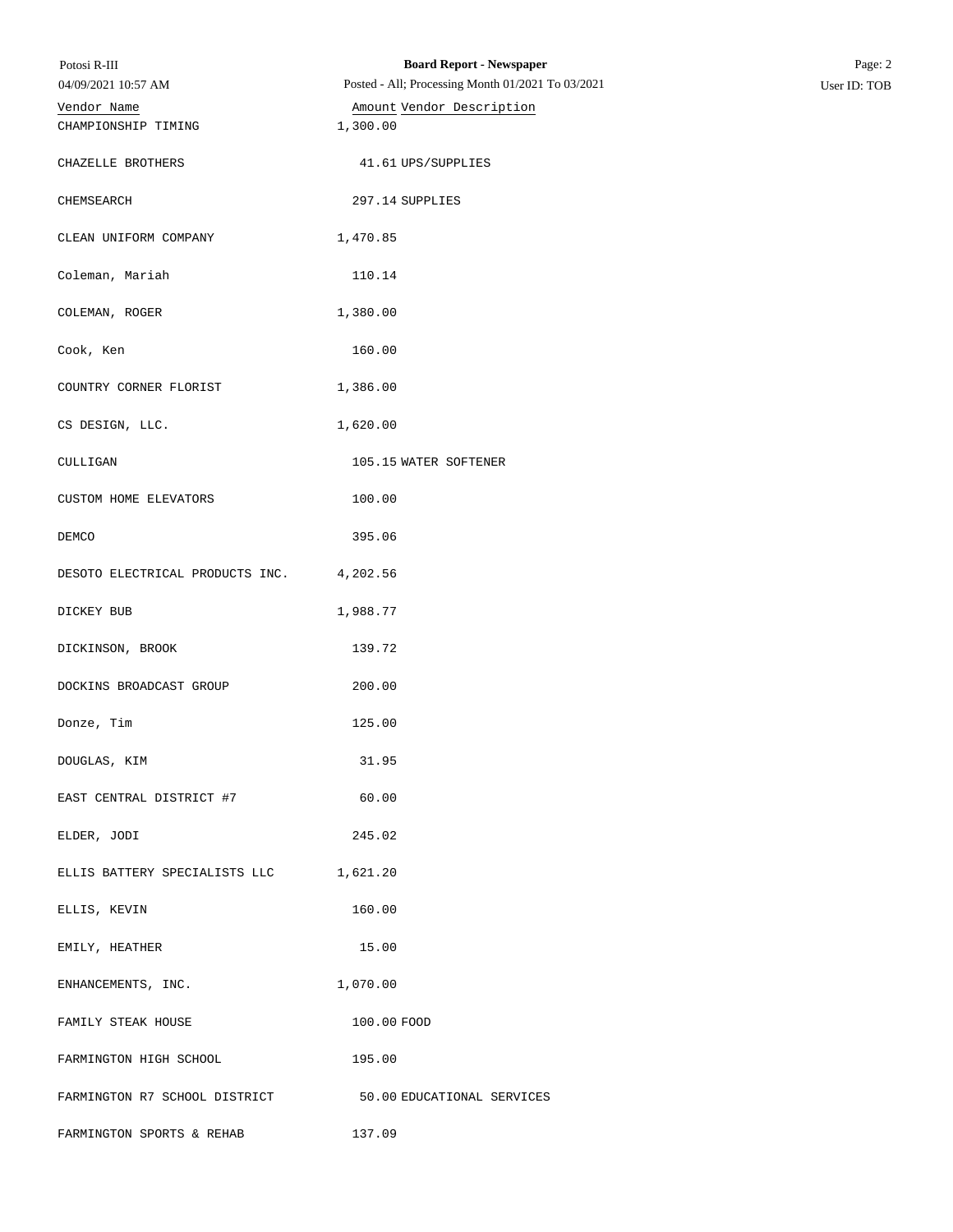| Potosi R-III                                             | <b>Board Report - Newspaper</b>                   | Page: 2      |
|----------------------------------------------------------|---------------------------------------------------|--------------|
| 04/09/2021 10:57 AM                                      | Posted - All; Processing Month 01/2021 To 03/2021 | User ID: TOB |
| Vendor Name                                              | Amount Vendor Description                         |              |
| CHAMPIONSHIP TIMING                                      | 1,300.00                                          |              |
| CHAZELLE BROTHERS                                        | 41.61 UPS/SUPPLIES                                |              |
| CHEMSEARCH                                               | 297.14 SUPPLIES                                   |              |
| CLEAN UNIFORM COMPANY                                    | 1,470.85                                          |              |
| Coleman, Mariah                                          | 110.14                                            |              |
| COLEMAN, ROGER                                           | 1,380.00                                          |              |
| Cook, Ken                                                | 160.00                                            |              |
| COUNTRY CORNER FLORIST                                   | 1,386.00                                          |              |
| CS DESIGN, LLC.                                          | 1,620.00                                          |              |
| CULLIGAN                                                 | 105.15 WATER SOFTENER                             |              |
| CUSTOM HOME ELEVATORS                                    | 100.00                                            |              |
| DEMCO                                                    | 395.06                                            |              |
| DESOTO ELECTRICAL PRODUCTS INC.                          | 4,202.56                                          |              |
| DICKEY BUB                                               | 1,988.77                                          |              |
| DICKINSON, BROOK                                         | 139.72                                            |              |
| DOCKINS BROADCAST GROUP                                  | 200.00                                            |              |
| Donze, Tim                                               | 125.00                                            |              |
| DOUGLAS, KIM                                             | 31.95                                             |              |
| EAST CENTRAL DISTRICT #7                                 | 60.00                                             |              |
| ELDER, JODI                                              | 245.02                                            |              |
| ELLIS BATTERY SPECIALISTS LLC 1,621.20                   |                                                   |              |
| ELLIS, KEVIN                                             | 160.00                                            |              |
| EMILY, HEATHER                                           | 15.00                                             |              |
| ENHANCEMENTS, INC.                                       | 1,070.00                                          |              |
| FAMILY STEAK HOUSE                                       | 100.00 FOOD                                       |              |
| FARMINGTON HIGH SCHOOL                                   | 195.00                                            |              |
| FARMINGTON R7 SCHOOL DISTRICT 50.00 EDUCATIONAL SERVICES |                                                   |              |
| FARMINGTON SPORTS & REHAB                                | 137.09                                            |              |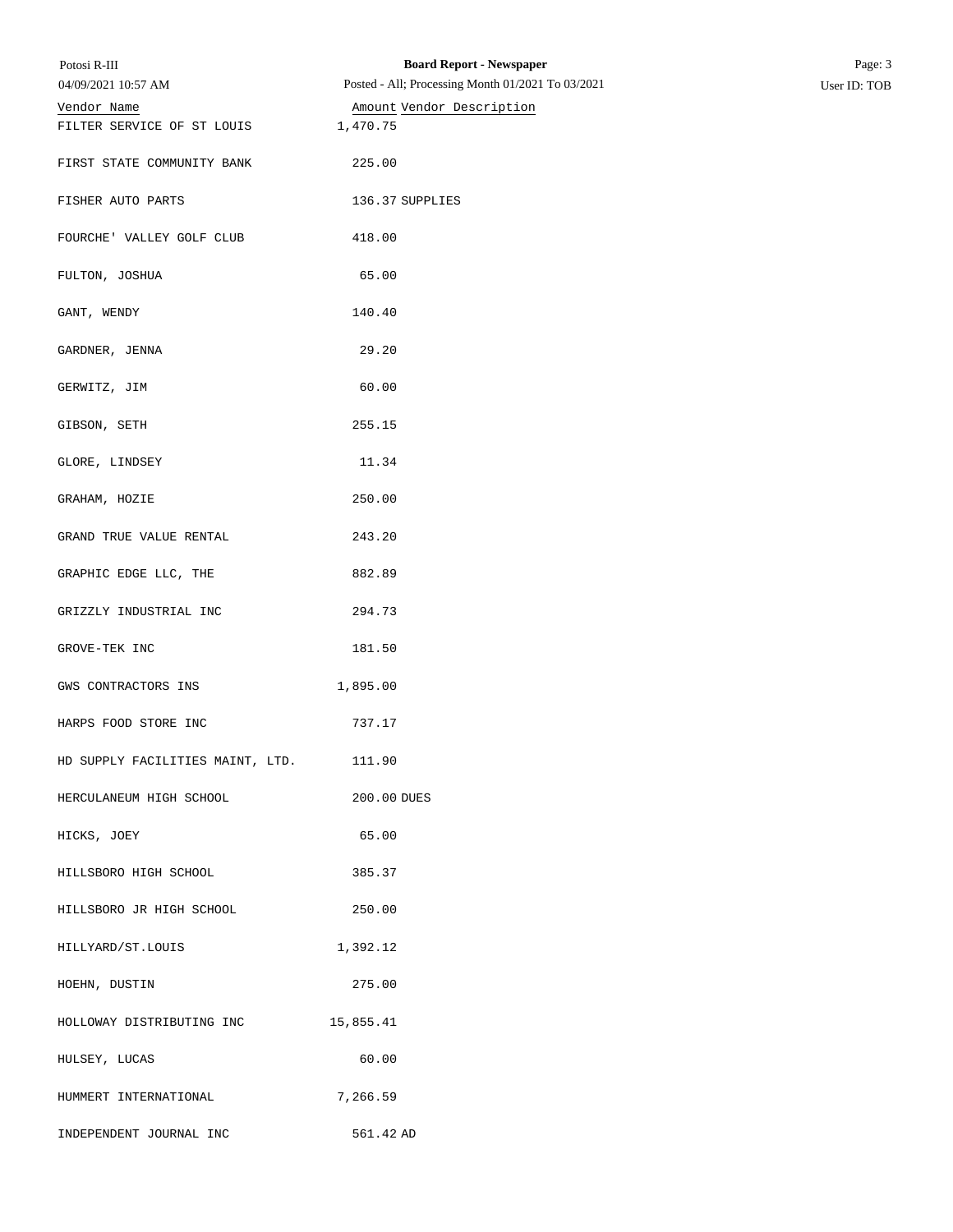| Potosi R-III                     | <b>Board Report - Newspaper</b>                   | Page: 3      |
|----------------------------------|---------------------------------------------------|--------------|
| 04/09/2021 10:57 AM              | Posted - All; Processing Month 01/2021 To 03/2021 | User ID: TOB |
| Vendor Name                      | Amount Vendor Description                         |              |
| FILTER SERVICE OF ST LOUIS       | 1,470.75                                          |              |
| FIRST STATE COMMUNITY BANK       | 225.00                                            |              |
| FISHER AUTO PARTS                | 136.37 SUPPLIES                                   |              |
| FOURCHE' VALLEY GOLF CLUB        | 418.00                                            |              |
| FULTON, JOSHUA                   | 65.00                                             |              |
| GANT, WENDY                      | 140.40                                            |              |
| GARDNER, JENNA                   | 29.20                                             |              |
| GERWITZ, JIM                     | 60.00                                             |              |
| GIBSON, SETH                     | 255.15                                            |              |
| GLORE, LINDSEY                   | 11.34                                             |              |
| GRAHAM, HOZIE                    | 250.00                                            |              |
| GRAND TRUE VALUE RENTAL          | 243.20                                            |              |
| GRAPHIC EDGE LLC, THE            | 882.89                                            |              |
| GRIZZLY INDUSTRIAL INC           | 294.73                                            |              |
| GROVE-TEK INC                    | 181.50                                            |              |
| GWS CONTRACTORS INS              | 1,895.00                                          |              |
| HARPS FOOD STORE INC             | 737.17                                            |              |
| HD SUPPLY FACILITIES MAINT, LTD. | 111.90                                            |              |
| HERCULANEUM HIGH SCHOOL          | 200.00 DUES                                       |              |
| HICKS, JOEY                      | 65.00                                             |              |
| HILLSBORO HIGH SCHOOL            | 385.37                                            |              |
| HILLSBORO JR HIGH SCHOOL         | 250.00                                            |              |
| HILLYARD/ST.LOUIS                | 1,392.12                                          |              |
| HOEHN, DUSTIN                    | 275.00                                            |              |
| HOLLOWAY DISTRIBUTING INC        | 15,855.41                                         |              |
| HULSEY, LUCAS                    | 60.00                                             |              |
| HUMMERT INTERNATIONAL            | 7,266.59                                          |              |
| INDEPENDENT JOURNAL INC          | 561.42 AD                                         |              |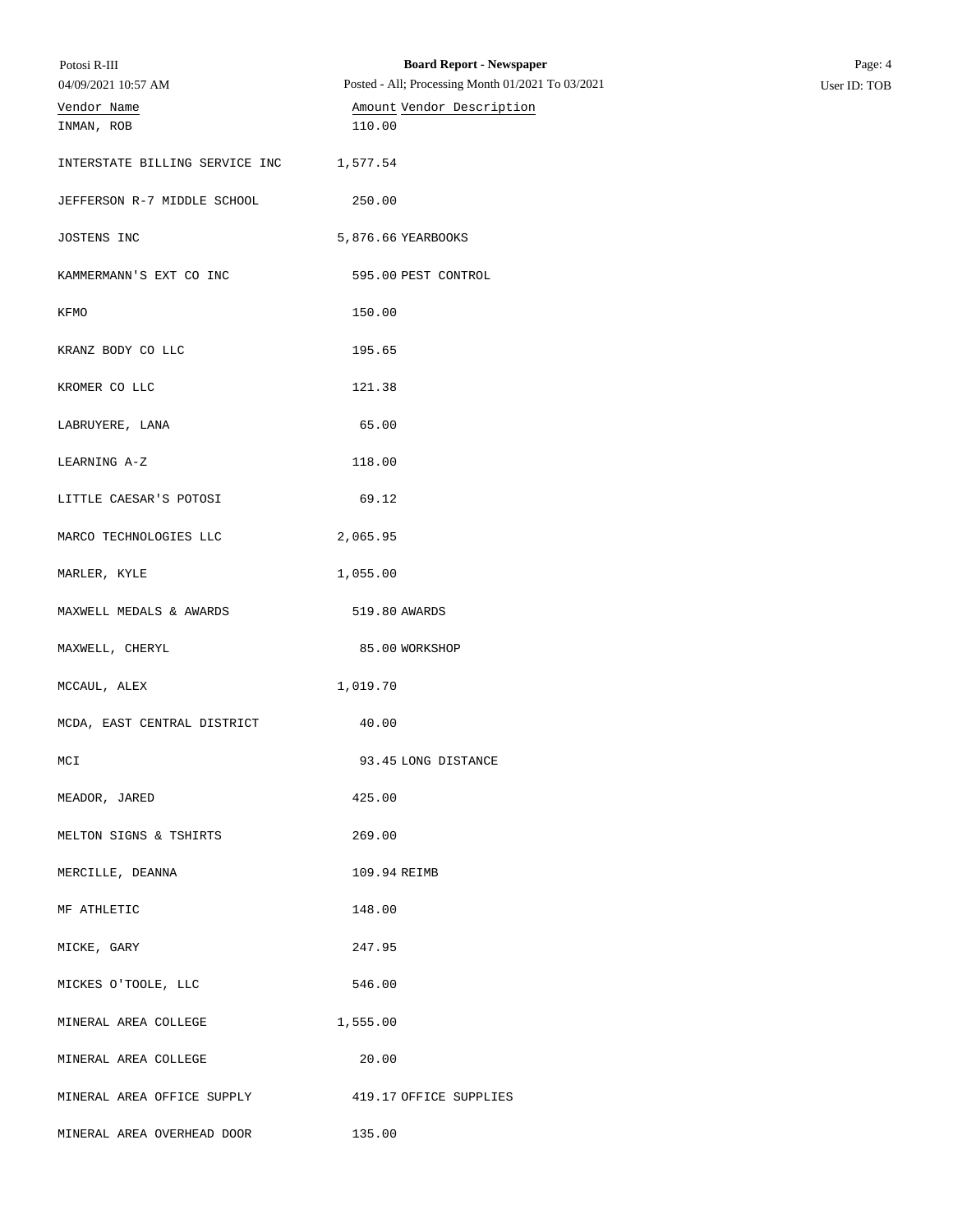| Potosi R-III<br>04/09/2021 10:57 AM | <b>Board Report - Newspaper</b><br>Posted - All; Processing Month 01/2021 To 03/2021 | Page: 4<br>User ID: TOB |
|-------------------------------------|--------------------------------------------------------------------------------------|-------------------------|
| Vendor Name                         | Amount Vendor Description                                                            |                         |
| INMAN, ROB                          | 110.00                                                                               |                         |
| INTERSTATE BILLING SERVICE INC      | 1,577.54                                                                             |                         |
| JEFFERSON R-7 MIDDLE SCHOOL         | 250.00                                                                               |                         |
| JOSTENS INC                         | 5,876.66 YEARBOOKS                                                                   |                         |
| KAMMERMANN'S EXT CO INC             | 595.00 PEST CONTROL                                                                  |                         |
| KFMO                                | 150.00                                                                               |                         |
| KRANZ BODY CO LLC                   | 195.65                                                                               |                         |
| KROMER CO LLC                       | 121.38                                                                               |                         |
| LABRUYERE, LANA                     | 65.00                                                                                |                         |
| LEARNING A-Z                        | 118.00                                                                               |                         |
| LITTLE CAESAR'S POTOSI              | 69.12                                                                                |                         |
| MARCO TECHNOLOGIES LLC              | 2,065.95                                                                             |                         |
| MARLER, KYLE                        | 1,055.00                                                                             |                         |
| MAXWELL MEDALS & AWARDS             | 519.80 AWARDS                                                                        |                         |
| MAXWELL, CHERYL                     | 85.00 WORKSHOP                                                                       |                         |
| MCCAUL, ALEX                        | 1,019.70                                                                             |                         |
| MCDA, EAST CENTRAL DISTRICT         | 40.00                                                                                |                         |
| MCI                                 | 93.45 LONG DISTANCE                                                                  |                         |
| MEADOR, JARED                       | 425.00                                                                               |                         |
| MELTON SIGNS & TSHIRTS              | 269.00                                                                               |                         |
| MERCILLE, DEANNA                    | 109.94 REIMB                                                                         |                         |
| MF ATHLETIC                         | 148.00                                                                               |                         |
| MICKE, GARY                         | 247.95                                                                               |                         |
| MICKES O'TOOLE, LLC                 | 546.00                                                                               |                         |
| MINERAL AREA COLLEGE                | 1,555.00                                                                             |                         |
| MINERAL AREA COLLEGE                | 20.00                                                                                |                         |
| MINERAL AREA OFFICE SUPPLY          | 419.17 OFFICE SUPPLIES                                                               |                         |
| MINERAL AREA OVERHEAD DOOR          | 135.00                                                                               |                         |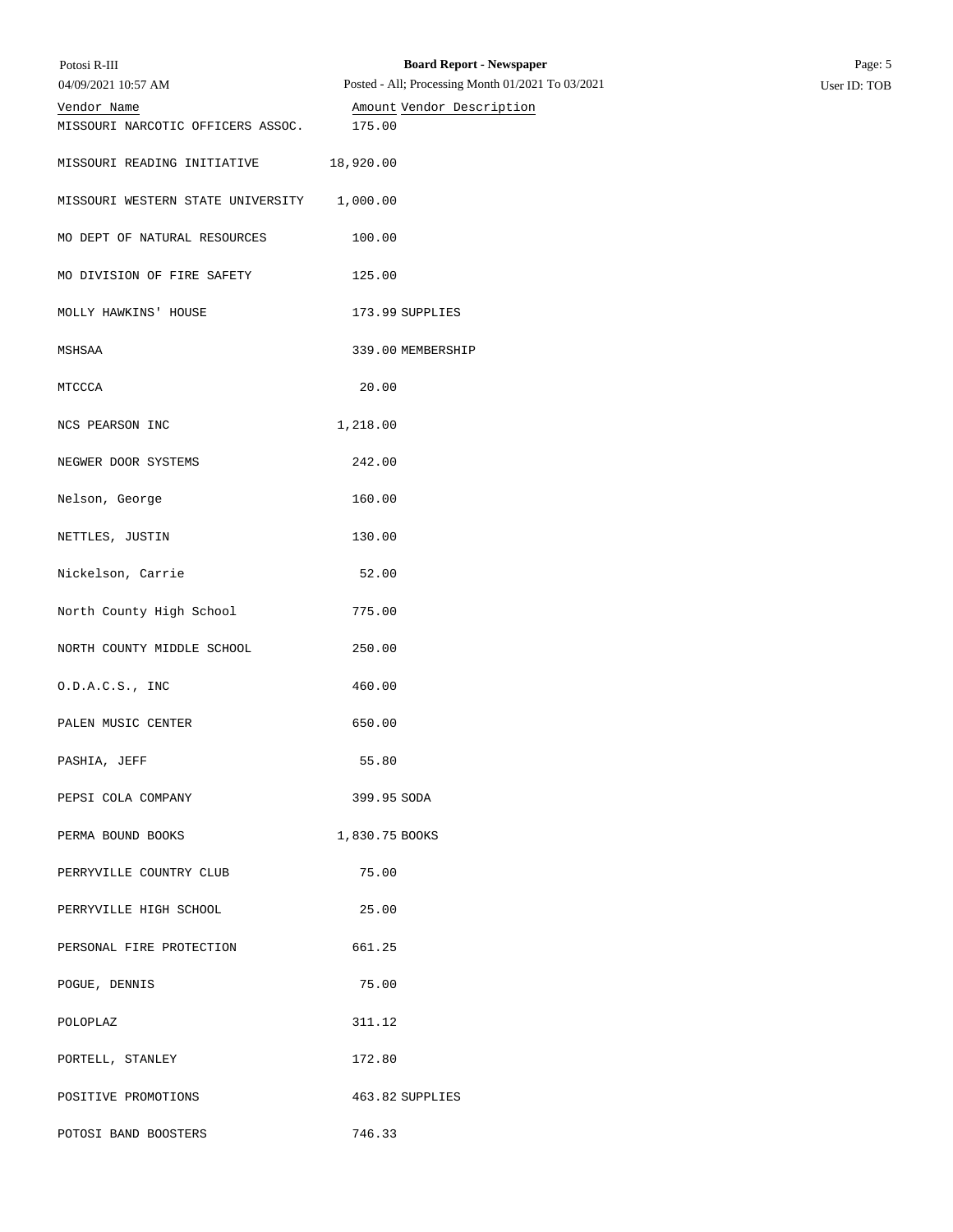| Potosi R-III<br>04/09/2021 10:57 AM | <b>Board Report - Newspaper</b><br>Posted - All; Processing Month 01/2021 To 03/2021 | Page: 5<br>User ID: TOB |
|-------------------------------------|--------------------------------------------------------------------------------------|-------------------------|
| Vendor Name                         | Amount Vendor Description                                                            |                         |
| MISSOURI NARCOTIC OFFICERS ASSOC.   | 175.00                                                                               |                         |
| MISSOURI READING INITIATIVE         | 18,920.00                                                                            |                         |
| MISSOURI WESTERN STATE UNIVERSITY   | 1,000.00                                                                             |                         |
| MO DEPT OF NATURAL RESOURCES        | 100.00                                                                               |                         |
| MO DIVISION OF FIRE SAFETY          | 125.00                                                                               |                         |
| MOLLY HAWKINS' HOUSE                | 173.99 SUPPLIES                                                                      |                         |
| MSHSAA                              | 339.00 MEMBERSHIP                                                                    |                         |
| MTCCCA                              | 20.00                                                                                |                         |
| NCS PEARSON INC                     | 1,218.00                                                                             |                         |
| NEGWER DOOR SYSTEMS                 | 242.00                                                                               |                         |
| Nelson, George                      | 160.00                                                                               |                         |
| NETTLES, JUSTIN                     | 130.00                                                                               |                         |
| Nickelson, Carrie                   | 52.00                                                                                |                         |
| North County High School            | 775.00                                                                               |                         |
| NORTH COUNTY MIDDLE SCHOOL          | 250.00                                                                               |                         |
| 0.D.A.C.S., INC                     | 460.00                                                                               |                         |
| PALEN MUSIC CENTER                  | 650.00                                                                               |                         |
| PASHIA, JEFF                        | 55.80                                                                                |                         |
| PEPSI COLA COMPANY                  | 399.95 SODA                                                                          |                         |
| PERMA BOUND BOOKS                   | 1,830.75 BOOKS                                                                       |                         |
| PERRYVILLE COUNTRY CLUB             | 75.00                                                                                |                         |
| PERRYVILLE HIGH SCHOOL              | 25.00                                                                                |                         |
| PERSONAL FIRE PROTECTION            | 661.25                                                                               |                         |
| POGUE, DENNIS                       | 75.00                                                                                |                         |
| POLOPLAZ                            | 311.12                                                                               |                         |
| PORTELL, STANLEY                    | 172.80                                                                               |                         |
| POSITIVE PROMOTIONS                 | 463.82 SUPPLIES                                                                      |                         |
| POTOSI BAND BOOSTERS                | 746.33                                                                               |                         |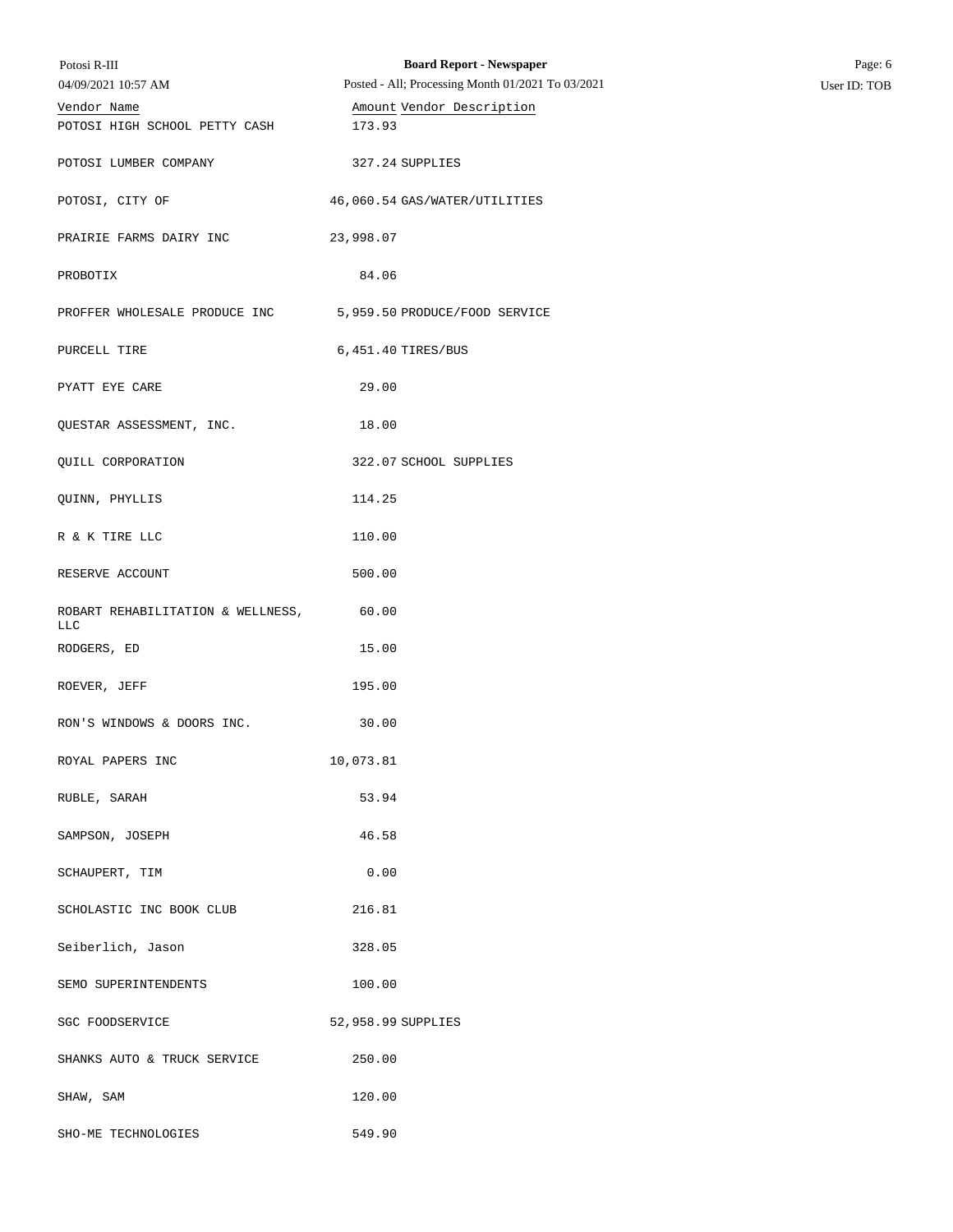| Potosi R-III<br>04/09/2021 10:57 AM          | <b>Board Report - Newspaper</b><br>Posted - All; Processing Month 01/2021 To 03/2021 | Page: 6<br>User ID: TOB |
|----------------------------------------------|--------------------------------------------------------------------------------------|-------------------------|
| Vendor Name<br>POTOSI HIGH SCHOOL PETTY CASH | Amount Vendor Description<br>173.93                                                  |                         |
| POTOSI LUMBER COMPANY                        | 327.24 SUPPLIES                                                                      |                         |
| POTOSI, CITY OF                              | 46,060.54 GAS/WATER/UTILITIES                                                        |                         |
| PRAIRIE FARMS DAIRY INC                      | 23,998.07                                                                            |                         |
| PROBOTIX                                     | 84.06                                                                                |                         |
| PROFFER WHOLESALE PRODUCE INC                | 5,959.50 PRODUCE/FOOD SERVICE                                                        |                         |
| PURCELL TIRE                                 | 6,451.40 TIRES/BUS                                                                   |                         |
| PYATT EYE CARE                               | 29.00                                                                                |                         |
| QUESTAR ASSESSMENT, INC.                     | 18.00                                                                                |                         |
| QUILL CORPORATION                            | 322.07 SCHOOL SUPPLIES                                                               |                         |
| QUINN, PHYLLIS                               | 114.25                                                                               |                         |
| R & K TIRE LLC                               | 110.00                                                                               |                         |
| RESERVE ACCOUNT                              | 500.00                                                                               |                         |
| ROBART REHABILITATION & WELLNESS,<br>LLC     | 60.00                                                                                |                         |
| RODGERS, ED                                  | 15.00                                                                                |                         |
| ROEVER, JEFF                                 | 195.00                                                                               |                         |
| RON'S WINDOWS & DOORS INC.                   | 30.00                                                                                |                         |
| ROYAL PAPERS INC                             | 10,073.81                                                                            |                         |
| RUBLE, SARAH                                 | 53.94                                                                                |                         |
| SAMPSON, JOSEPH                              | 46.58                                                                                |                         |
| SCHAUPERT, TIM                               | 0.00                                                                                 |                         |
| SCHOLASTIC INC BOOK CLUB                     | 216.81                                                                               |                         |
| Seiberlich, Jason                            | 328.05                                                                               |                         |
| SEMO SUPERINTENDENTS                         | 100.00                                                                               |                         |
| SGC FOODSERVICE                              | 52,958.99 SUPPLIES                                                                   |                         |
| SHANKS AUTO & TRUCK SERVICE                  | 250.00                                                                               |                         |
| SHAW, SAM                                    | 120.00                                                                               |                         |
| SHO-ME TECHNOLOGIES                          | 549.90                                                                               |                         |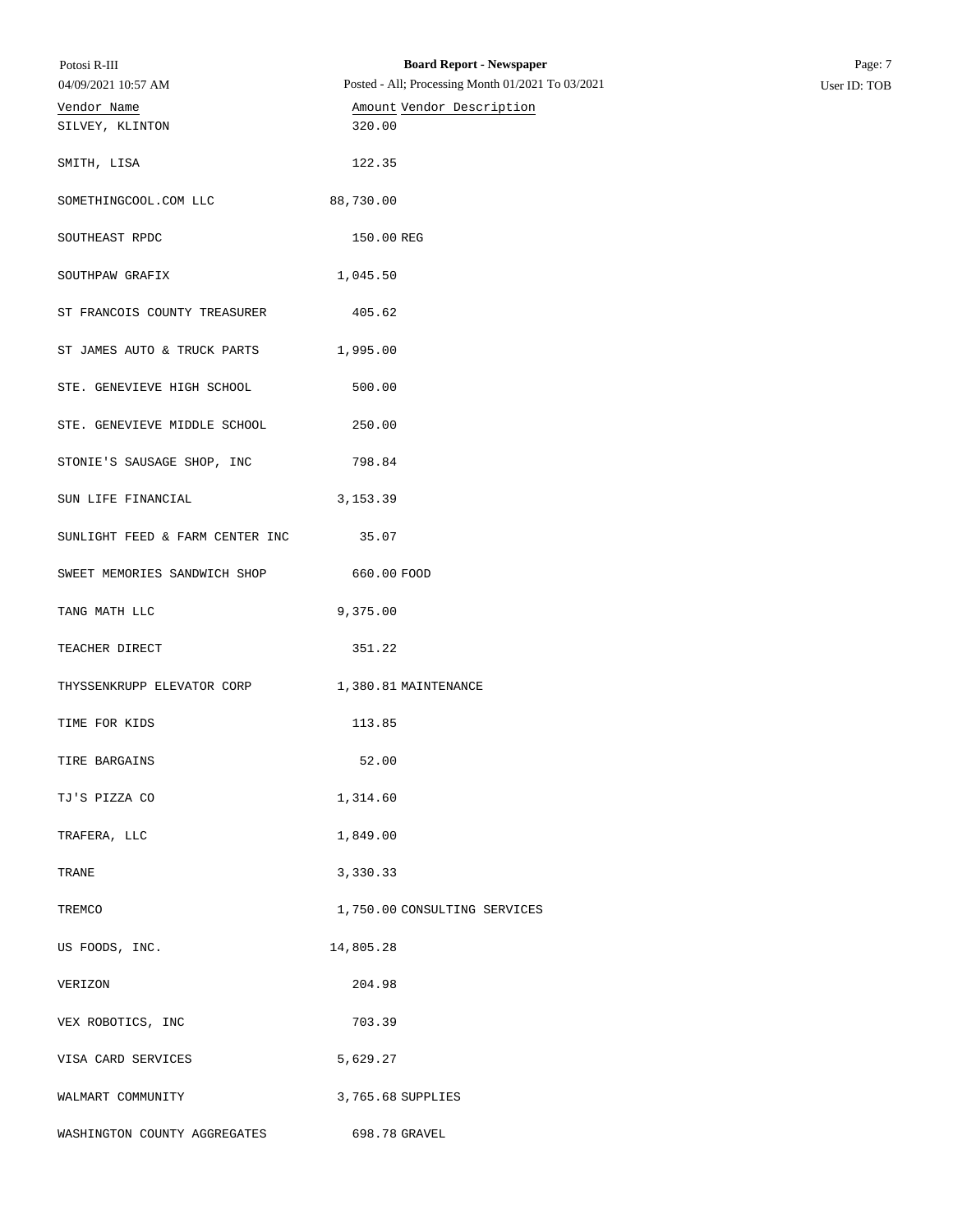| Potosi R-III<br>04/09/2021 10:57 AM             | <b>Board Report - Newspaper</b><br>Posted - All; Processing Month 01/2021 To 03/2021 | Page: 7<br>User ID: TOB |
|-------------------------------------------------|--------------------------------------------------------------------------------------|-------------------------|
| Vendor Name                                     | Amount Vendor Description                                                            |                         |
| SILVEY, KLINTON                                 | 320.00                                                                               |                         |
| SMITH, LISA                                     | 122.35                                                                               |                         |
| SOMETHINGCOOL.COM LLC                           | 88,730.00                                                                            |                         |
| SOUTHEAST RPDC                                  | 150.00 REG                                                                           |                         |
| SOUTHPAW GRAFIX                                 | 1,045.50                                                                             |                         |
| ST FRANCOIS COUNTY TREASURER                    | 405.62                                                                               |                         |
| ST JAMES AUTO & TRUCK PARTS                     | 1,995.00                                                                             |                         |
| STE. GENEVIEVE HIGH SCHOOL                      | 500.00                                                                               |                         |
| STE. GENEVIEVE MIDDLE SCHOOL                    | 250.00                                                                               |                         |
| STONIE'S SAUSAGE SHOP, INC                      | 798.84                                                                               |                         |
| SUN LIFE FINANCIAL                              | 3, 153.39                                                                            |                         |
| SUNLIGHT FEED & FARM CENTER INC                 | 35.07                                                                                |                         |
| SWEET MEMORIES SANDWICH SHOP                    | 660.00 FOOD                                                                          |                         |
| TANG MATH LLC                                   | 9,375.00                                                                             |                         |
| TEACHER DIRECT                                  | 351.22                                                                               |                         |
| THYSSENKRUPP ELEVATOR CORP 1,380.81 MAINTENANCE |                                                                                      |                         |
| TIME FOR KIDS                                   | 113.85                                                                               |                         |
| TIRE BARGAINS                                   | 52.00                                                                                |                         |
| TJ'S PIZZA CO                                   | 1,314.60                                                                             |                         |
| TRAFERA, LLC                                    | 1,849.00                                                                             |                         |
| TRANE                                           | 3,330.33                                                                             |                         |
| TREMCO                                          | 1,750.00 CONSULTING SERVICES                                                         |                         |
| US FOODS, INC.                                  | 14,805.28                                                                            |                         |
| VERIZON                                         | 204.98                                                                               |                         |
| VEX ROBOTICS, INC                               | 703.39                                                                               |                         |
| VISA CARD SERVICES                              | 5,629.27                                                                             |                         |
| WALMART COMMUNITY                               | 3,765.68 SUPPLIES                                                                    |                         |
| WASHINGTON COUNTY AGGREGATES                    | 698.78 GRAVEL                                                                        |                         |